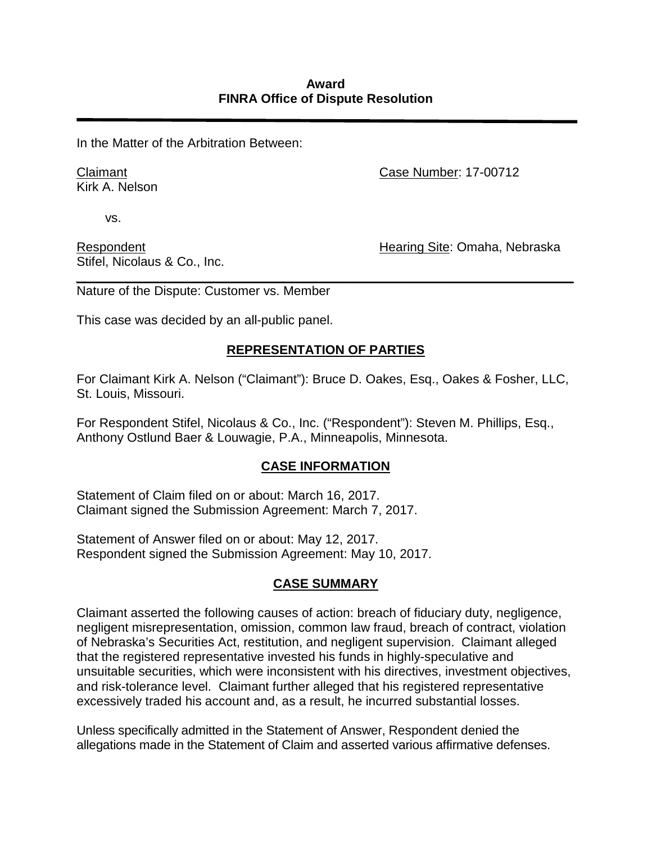In the Matter of the Arbitration Between:

Claimant Kirk A. Nelson Case Number: 17-00712

vs.

Respondent Stifel, Nicolaus & Co., Inc. Hearing Site: Omaha, Nebraska

*\_\_\_\_\_\_\_\_\_\_\_\_\_\_\_\_\_\_\_\_\_\_\_\_\_\_\_\_\_\_\_\_\_\_\_\_\_\_\_\_\_\_\_\_\_\_\_\_\_\_\_\_\_\_\_\_\_\_\_\_\_\_\_\_\_\_\_\_\_\_*  Nature of the Dispute: Customer vs. Member

This case was decided by an all-public panel.

## **REPRESENTATION OF PARTIES**

For Claimant Kirk A. Nelson ("Claimant"): Bruce D. Oakes, Esq., Oakes & Fosher, LLC, St. Louis, Missouri.

For Respondent Stifel, Nicolaus & Co., Inc. ("Respondent"): Steven M. Phillips, Esq., Anthony Ostlund Baer & Louwagie, P.A., Minneapolis, Minnesota.

## **CASE INFORMATION**

Statement of Claim filed on or about: March 16, 2017. Claimant signed the Submission Agreement: March 7, 2017.

Statement of Answer filed on or about: May 12, 2017. Respondent signed the Submission Agreement: May 10, 2017.

## **CASE SUMMARY**

Claimant asserted the following causes of action: breach of fiduciary duty, negligence, negligent misrepresentation, omission, common law fraud, breach of contract, violation of Nebraska's Securities Act, restitution, and negligent supervision. Claimant alleged that the registered representative invested his funds in highly-speculative and unsuitable securities, which were inconsistent with his directives, investment objectives, and risk-tolerance level. Claimant further alleged that his registered representative excessively traded his account and, as a result, he incurred substantial losses.

Unless specifically admitted in the Statement of Answer, Respondent denied the allegations made in the Statement of Claim and asserted various affirmative defenses.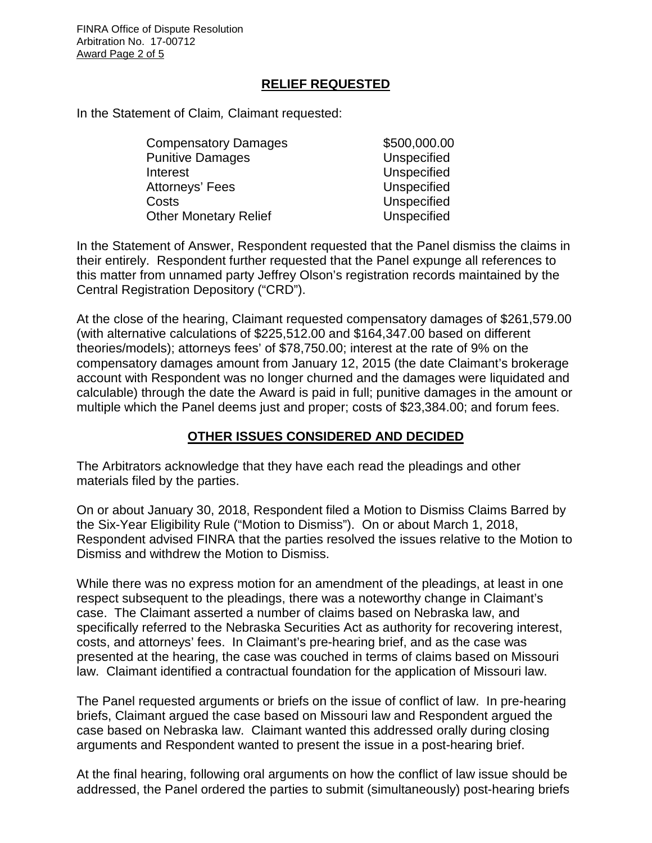FINRA Office of Dispute Resolution Arbitration No. 17-00712 Award Page 2 of 5

#### **RELIEF REQUESTED**

In the Statement of Claim*,* Claimant requested:

| <b>Compensatory Damages</b>  | \$500,000.00 |
|------------------------------|--------------|
| <b>Punitive Damages</b>      | Unspecified  |
| Interest                     | Unspecified  |
| Attorneys' Fees              | Unspecified  |
| Costs                        | Unspecified  |
| <b>Other Monetary Relief</b> | Unspecified  |

In the Statement of Answer, Respondent requested that the Panel dismiss the claims in their entirely. Respondent further requested that the Panel expunge all references to this matter from unnamed party Jeffrey Olson's registration records maintained by the Central Registration Depository ("CRD").

At the close of the hearing, Claimant requested compensatory damages of \$261,579.00 (with alternative calculations of \$225,512.00 and \$164,347.00 based on different theories/models); attorneys fees' of \$78,750.00; interest at the rate of 9% on the compensatory damages amount from January 12, 2015 (the date Claimant's brokerage account with Respondent was no longer churned and the damages were liquidated and calculable) through the date the Award is paid in full; punitive damages in the amount or multiple which the Panel deems just and proper; costs of \$23,384.00; and forum fees.

#### **OTHER ISSUES CONSIDERED AND DECIDED**

The Arbitrators acknowledge that they have each read the pleadings and other materials filed by the parties.

On or about January 30, 2018, Respondent filed a Motion to Dismiss Claims Barred by the Six-Year Eligibility Rule ("Motion to Dismiss"). On or about March 1, 2018, Respondent advised FINRA that the parties resolved the issues relative to the Motion to Dismiss and withdrew the Motion to Dismiss.

While there was no express motion for an amendment of the pleadings, at least in one respect subsequent to the pleadings, there was a noteworthy change in Claimant's case. The Claimant asserted a number of claims based on Nebraska law, and specifically referred to the Nebraska Securities Act as authority for recovering interest, costs, and attorneys' fees. In Claimant's pre-hearing brief, and as the case was presented at the hearing, the case was couched in terms of claims based on Missouri law. Claimant identified a contractual foundation for the application of Missouri law.

The Panel requested arguments or briefs on the issue of conflict of law. In pre-hearing briefs, Claimant argued the case based on Missouri law and Respondent argued the case based on Nebraska law. Claimant wanted this addressed orally during closing arguments and Respondent wanted to present the issue in a post-hearing brief.

At the final hearing, following oral arguments on how the conflict of law issue should be addressed, the Panel ordered the parties to submit (simultaneously) post-hearing briefs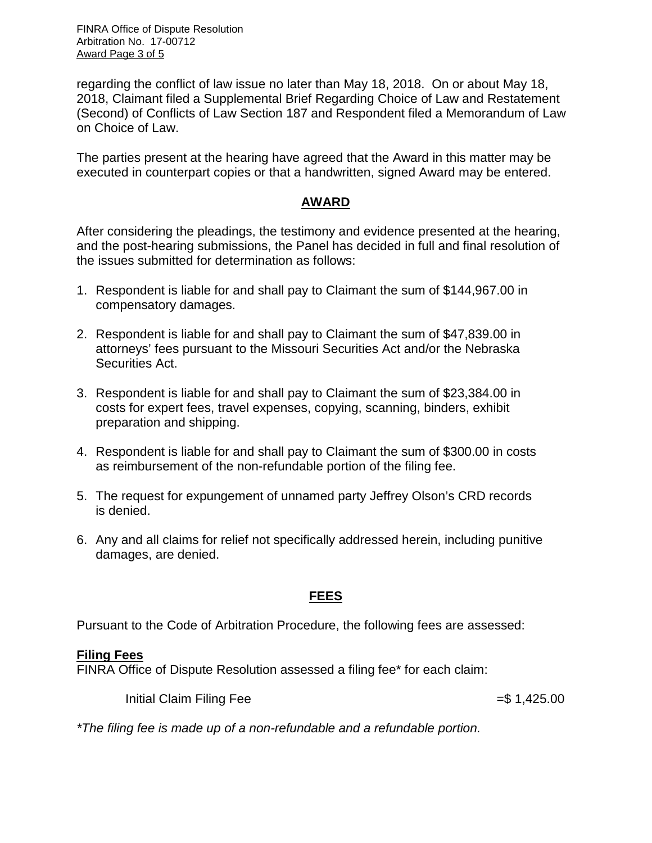FINRA Office of Dispute Resolution Arbitration No. 17-00712 Award Page 3 of 5

regarding the conflict of law issue no later than May 18, 2018. On or about May 18, 2018, Claimant filed a Supplemental Brief Regarding Choice of Law and Restatement (Second) of Conflicts of Law Section 187 and Respondent filed a Memorandum of Law on Choice of Law.

The parties present at the hearing have agreed that the Award in this matter may be executed in counterpart copies or that a handwritten, signed Award may be entered.

#### **AWARD**

After considering the pleadings, the testimony and evidence presented at the hearing, and the post-hearing submissions, the Panel has decided in full and final resolution of the issues submitted for determination as follows:

- 1. Respondent is liable for and shall pay to Claimant the sum of \$144,967.00 in compensatory damages.
- 2. Respondent is liable for and shall pay to Claimant the sum of \$47,839.00 in attorneys' fees pursuant to the Missouri Securities Act and/or the Nebraska Securities Act.
- 3. Respondent is liable for and shall pay to Claimant the sum of \$23,384.00 in costs for expert fees, travel expenses, copying, scanning, binders, exhibit preparation and shipping.
- 4. Respondent is liable for and shall pay to Claimant the sum of \$300.00 in costs as reimbursement of the non-refundable portion of the filing fee.
- 5. The request for expungement of unnamed party Jeffrey Olson's CRD records is denied.
- 6. Any and all claims for relief not specifically addressed herein, including punitive damages, are denied.

#### **FEES**

Pursuant to the Code of Arbitration Procedure, the following fees are assessed:

#### **Filing Fees**

FINRA Office of Dispute Resolution assessed a filing fee\* for each claim:

Initial Claim Filing Fee  $=$  \$ 1,425.00

*\*The filing fee is made up of a non-refundable and a refundable portion.*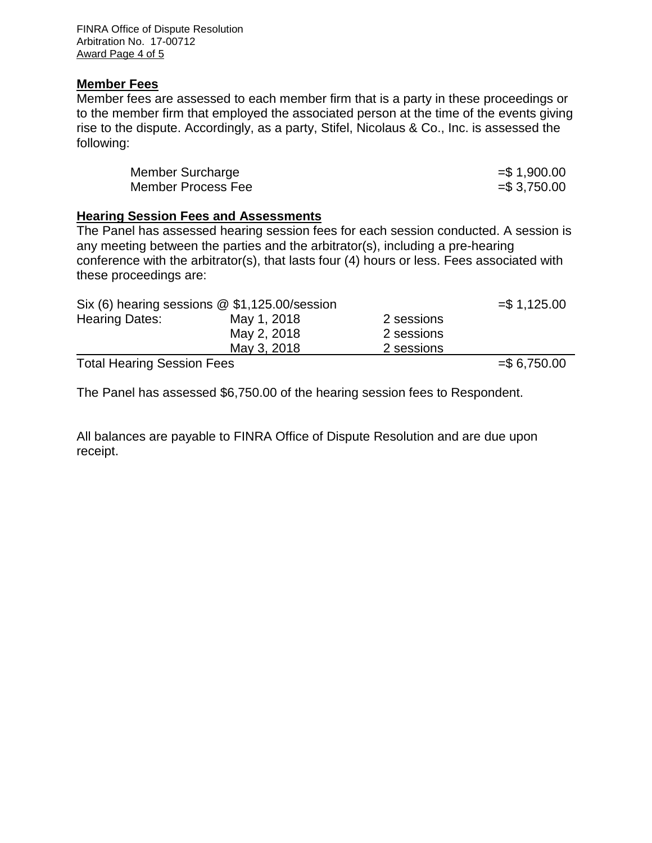FINRA Office of Dispute Resolution Arbitration No. 17-00712 Award Page 4 of 5

#### **Member Fees**

Member fees are assessed to each member firm that is a party in these proceedings or to the member firm that employed the associated person at the time of the events giving rise to the dispute. Accordingly, as a party, Stifel, Nicolaus & Co., Inc. is assessed the following:

| Member Surcharge   | $= $1,900.00$ |
|--------------------|---------------|
| Member Process Fee | $= $3,750.00$ |

#### **Hearing Session Fees and Assessments**

The Panel has assessed hearing session fees for each session conducted. A session is any meeting between the parties and the arbitrator(s), including a pre-hearing conference with the arbitrator(s), that lasts four (4) hours or less. Fees associated with these proceedings are:

|                                   | Six (6) hearing sessions $@$ \$1,125.00/session |            | $= $1,125.00$ |
|-----------------------------------|-------------------------------------------------|------------|---------------|
| <b>Hearing Dates:</b>             | May 1, 2018                                     | 2 sessions |               |
|                                   | May 2, 2018                                     | 2 sessions |               |
|                                   | May 3, 2018                                     | 2 sessions |               |
| <b>Total Hearing Session Fees</b> |                                                 |            | $= $6,750.00$ |

The Panel has assessed \$6,750.00 of the hearing session fees to Respondent.

All balances are payable to FINRA Office of Dispute Resolution and are due upon receipt.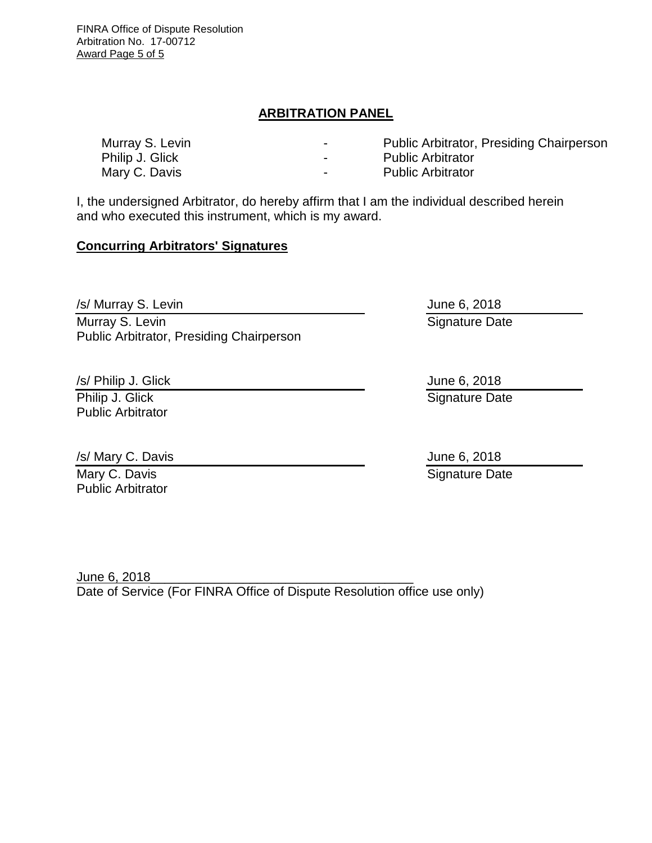FINRA Office of Dispute Resolution Arbitration No. 17-00712 Award Page 5 of 5

### **ARBITRATION PANEL**

Murray S. Levin **Murray S. Levin Fig. 2018** - Public Arbitrator, Presiding Chairperson Philip J. Glick **Philip J. Glick - Public Arbitrator** Mary C. Davis **Mary C. Davis Arrow C. Davis Public Arbitrator** 

I, the undersigned Arbitrator, do hereby affirm that I am the individual described herein and who executed this instrument, which is my award.

#### **Concurring Arbitrators' Signatures**

/s/ Murray S. Levin Murray S. Levin Public Arbitrator, Presiding Chairperson

/s/ Philip J. Glick

Philip J. Glick Public Arbitrator

/s/ Mary C. Davis Mary C. Davis Public Arbitrator

June 6, 2018 Signature Date

June 6, 2018 Signature Date

June 6, 2018 Signature Date

June 6, 2018 Date of Service (For FINRA Office of Dispute Resolution office use only)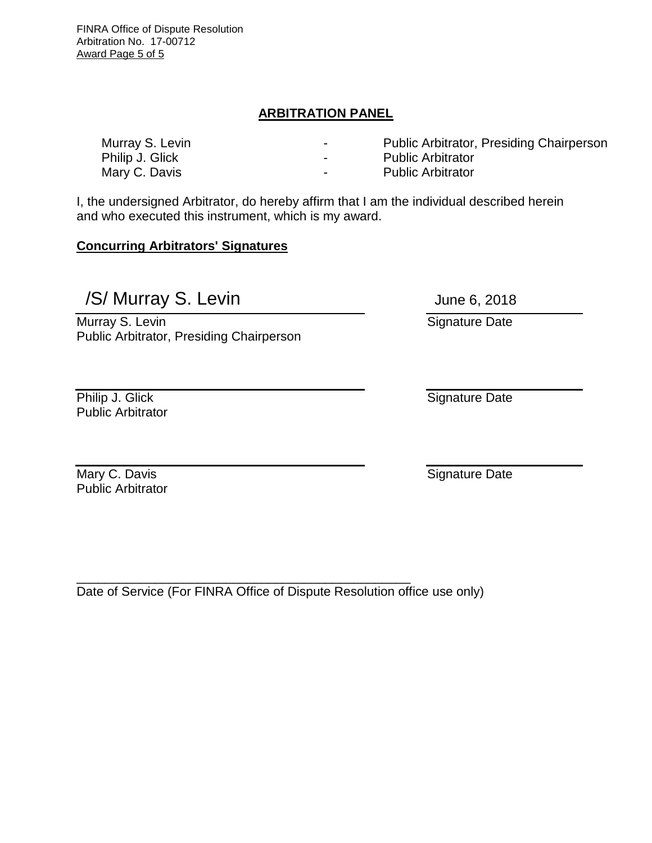FINRA Office of Dispute Resolution Arbitration No. 17-00712 Award Page 5 of 5

## **ARBITRATION PANEL**

Murray S. Levin - Public Arbitrator, Presiding Chairperson

- Philip J. Glick **Philip J. Glick Public Arbitrator**
- Mary C. Davis **Mary C. Davis Arrow C. Davis Public Arbitrator**

I, the undersigned Arbitrator, do hereby affirm that I am the individual described herein and who executed this instrument, which is my award.

#### **Concurring Arbitrators' Signatures**

/S/ Murray S. Levin June 6, 2018

Murray S. Levin Public Arbitrator, Presiding Chairperson

Philip J. Glick Public Arbitrator

Mary C. Davis Public Arbitrator

\_\_\_\_\_\_\_\_\_\_\_\_\_\_\_\_\_\_\_\_\_\_\_\_\_\_\_\_\_\_\_\_\_\_\_\_\_\_\_\_\_\_\_\_\_\_\_ Date of Service (For FINRA Office of Dispute Resolution office use only)

Signature Date

Signature Date

Signature Date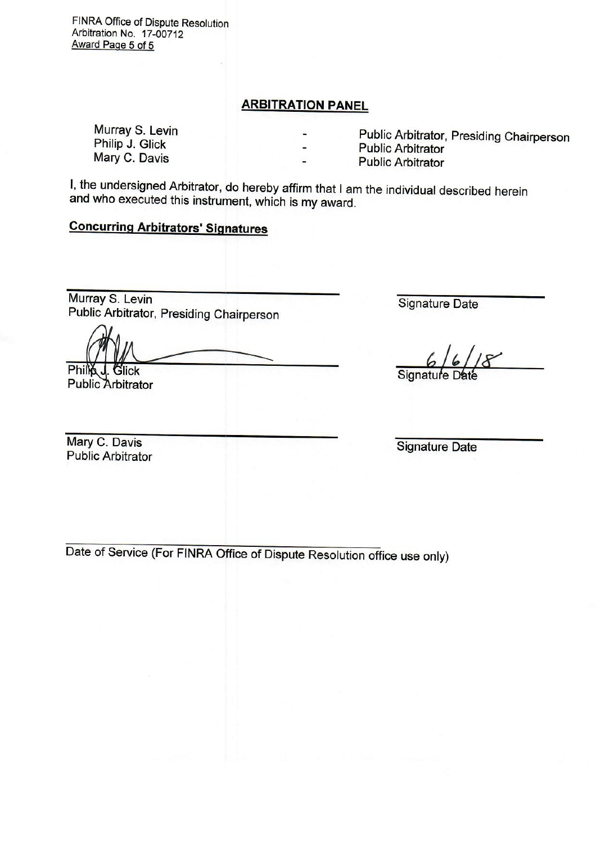FINRA Office of Dispute Resolution Arbitration No. 17-00712 Award Page 5 of 5

## **ARBITRATION PANEL**

Murray S. Levin Philip J. Glick Mary C. Davis

Public Arbitrator, Presiding Chairperson

**Public Arbitrator** 

**Public Arbitrator** 

I, the undersigned Arbitrator, do hereby affirm that I am the individual described herein and who executed this instrument, which is my award.

# **Concurring Arbitrators' Signatures**

Murray S. Levin Public Arbitrator, Presiding Chairperson

**Signature Date** 

Phill **Filick Public Arbitrator** 

Signatu

Mary C. Davis **Public Arbitrator** 

**Signature Date** 

Date of Service (For FINRA Office of Dispute Resolution office use only)